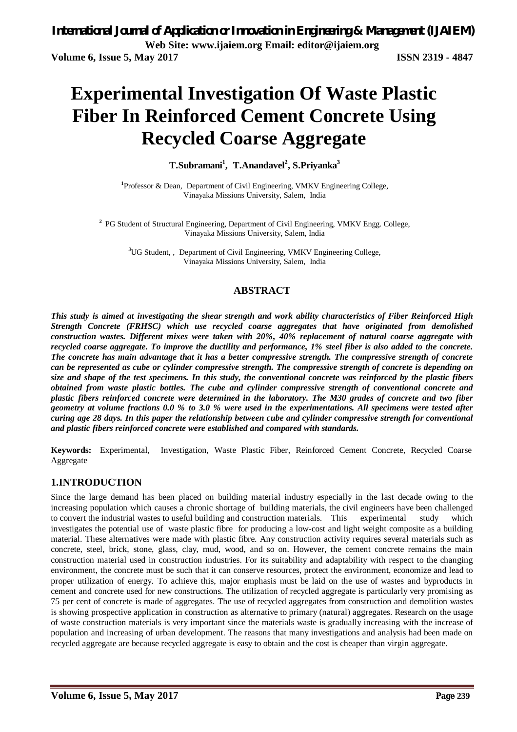# **Experimental Investigation Of Waste Plastic Fiber In Reinforced Cement Concrete Using Recycled Coarse Aggregate**

**T.Subramani<sup>1</sup> , T.Anandavel<sup>2</sup> , S.Priyanka<sup>3</sup>**

<sup>1</sup>Professor & Dean, Department of Civil Engineering, VMKV Engineering College, Vinayaka Missions University, Salem, India

<sup>2</sup> PG Student of Structural Engineering, Department of Civil Engineering, VMKV Engg. College, Vinayaka Missions University, Salem, India

<sup>3</sup>UG Student,, Department of Civil Engineering, VMKV Engineering College, Vinayaka Missions University, Salem, India

### **ABSTRACT**

*This study is aimed at investigating the shear strength and work ability characteristics of Fiber Reinforced High Strength Concrete (FRHSC) which use recycled coarse aggregates that have originated from demolished construction wastes. Different mixes were taken with 20%, 40% replacement of natural coarse aggregate with recycled coarse aggregate. To improve the ductility and performance, 1% steel fiber is also added to the concrete. The concrete has main advantage that it has a better compressive strength. The compressive strength of concrete can be represented as cube or cylinder compressive strength. The compressive strength of concrete is depending on size and shape of the test specimens. In this study, the conventional concrete was reinforced by the plastic fibers obtained from waste plastic bottles. The cube and cylinder compressive strength of conventional concrete and plastic fibers reinforced concrete were determined in the laboratory. The M30 grades of concrete and two fiber geometry at volume fractions 0.0 % to 3.0 % were used in the experimentations. All specimens were tested after curing age 28 days. In this paper the relationship between cube and cylinder compressive strength for conventional and plastic fibers reinforced concrete were established and compared with standards.* 

**Keywords:** Experimental, Investigation, Waste Plastic Fiber, Reinforced Cement Concrete, Recycled Coarse Aggregate

### **1.INTRODUCTION**

Since the large demand has been placed on building material industry especially in the last decade owing to the increasing population which causes a chronic shortage of building materials, the civil engineers have been challenged to convert the industrial wastes to useful building and construction materials. This experimental study which investigates the potential use of waste plastic fibre for producing a low-cost and light weight composite as a building material. These alternatives were made with plastic fibre. Any construction activity requires several materials such as concrete, steel, brick, stone, glass, clay, mud, wood, and so on. However, the cement concrete remains the main construction material used in construction industries. For its suitability and adaptability with respect to the changing environment, the concrete must be such that it can conserve resources, protect the environment, economize and lead to proper utilization of energy. To achieve this, major emphasis must be laid on the use of wastes and byproducts in cement and concrete used for new constructions. The utilization of recycled aggregate is particularly very promising as 75 per cent of concrete is made of aggregates. The use of recycled aggregates from construction and demolition wastes is showing prospective application in construction as alternative to primary (natural) aggregates. Research on the usage of waste construction materials is very important since the materials waste is gradually increasing with the increase of population and increasing of urban development. The reasons that many investigations and analysis had been made on recycled aggregate are because recycled aggregate is easy to obtain and the cost is cheaper than virgin aggregate.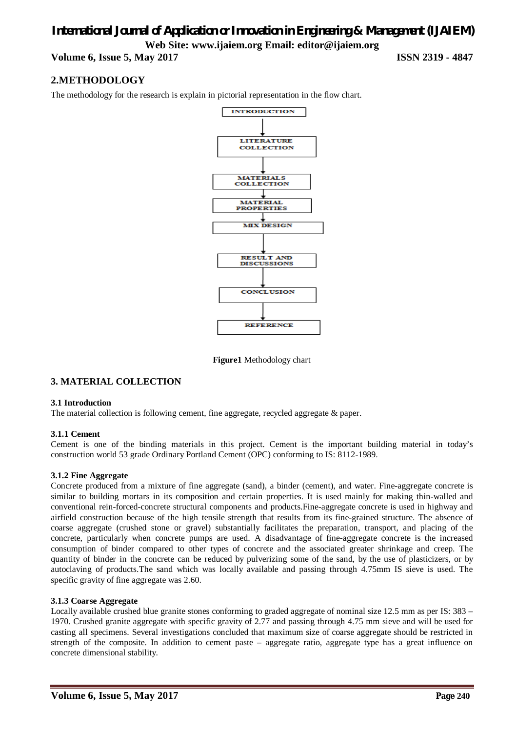**Volume 6, Issue 5, May 2017 ISSN 2319 - 4847**

### **2.METHODOLOGY**

The methodology for the research is explain in pictorial representation in the flow chart.



**Figure1** Methodology chart

#### **3. MATERIAL COLLECTION**

#### **3.1 Introduction**

The material collection is following cement, fine aggregate, recycled aggregate & paper.

#### **3.1.1 Cement**

Cement is one of the binding materials in this project. Cement is the important building material in today's construction world 53 grade Ordinary Portland Cement (OPC) conforming to IS: 8112-1989.

#### **3.1.2 Fine Aggregate**

Concrete produced from a mixture of fine aggregate (sand), a binder (cement), and water. Fine-aggregate concrete is similar to building mortars in its composition and certain properties. It is used mainly for making thin-walled and conventional rein-forced-concrete structural components and products.Fine-aggregate concrete is used in highway and airfield construction because of the high tensile strength that results from its fine-grained structure. The absence of coarse aggregate (crushed stone or gravel) substantially facilitates the preparation, transport, and placing of the concrete, particularly when concrete pumps are used. A disadvantage of fine-aggregate concrete is the increased consumption of binder compared to other types of concrete and the associated greater shrinkage and creep. The quantity of binder in the concrete can be reduced by pulverizing some of the sand, by the use of plasticizers, or by autoclaving of products.The sand which was locally available and passing through 4.75mm IS sieve is used. The specific gravity of fine aggregate was 2.60.

#### **3.1.3 Coarse Aggregate**

Locally available crushed blue granite stones conforming to graded aggregate of nominal size 12.5 mm as per IS: 383 – 1970. Crushed granite aggregate with specific gravity of 2.77 and passing through 4.75 mm sieve and will be used for casting all specimens. Several investigations concluded that maximum size of coarse aggregate should be restricted in strength of the composite. In addition to cement paste – aggregate ratio, aggregate type has a great influence on concrete dimensional stability.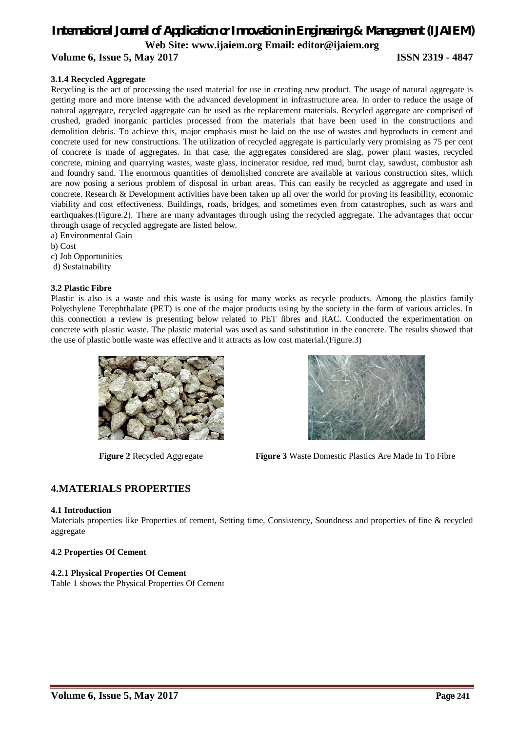**Volume 6, Issue 5, May 2017 ISSN 2319 - 4847**

#### **3.1.4 Recycled Aggregate**

Recycling is the act of processing the used material for use in creating new product. The usage of natural aggregate is getting more and more intense with the advanced development in infrastructure area. In order to reduce the usage of natural aggregate, recycled aggregate can be used as the replacement materials. Recycled aggregate are comprised of crushed, graded inorganic particles processed from the materials that have been used in the constructions and demolition debris. To achieve this, major emphasis must be laid on the use of wastes and byproducts in cement and concrete used for new constructions. The utilization of recycled aggregate is particularly very promising as 75 per cent of concrete is made of aggregates. In that case, the aggregates considered are slag, power plant wastes, recycled concrete, mining and quarrying wastes, waste glass, incinerator residue, red mud, burnt clay, sawdust, combustor ash and foundry sand. The enormous quantities of demolished concrete are available at various construction sites, which are now posing a serious problem of disposal in urban areas. This can easily be recycled as aggregate and used in concrete. Research & Development activities have been taken up all over the world for proving its feasibility, economic viability and cost effectiveness. Buildings, roads, bridges, and sometimes even from catastrophes, such as wars and earthquakes.(Figure.2). There are many advantages through using the recycled aggregate. The advantages that occur through usage of recycled aggregate are listed below.

- a) Environmental Gain
- b) Cost
- c) Job Opportunities
- d) Sustainability

#### **3.2 Plastic Fibre**

Plastic is also is a waste and this waste is using for many works as recycle products. Among the plastics family Polyethylene Terephthalate (PET) is one of the major products using by the society in the form of various articles. In this connection a review is presenting below related to PET fibres and RAC. Conducted the experimentation on concrete with plastic waste. The plastic material was used as sand substitution in the concrete. The results showed that the use of plastic bottle waste was effective and it attracts as low cost material.(Figure.3)





**Figure 2** Recycled Aggregate **Figure 3** Waste Domestic Plastics Are Made In To Fibre

### **4.MATERIALS PROPERTIES**

#### **4.1 Introduction**

Materials properties like Properties of cement, Setting time, Consistency, Soundness and properties of fine & recycled aggregate

#### **4.2 Properties Of Cement**

#### **4.2.1 Physical Properties Of Cement**

Table 1 shows the Physical Properties Of Cement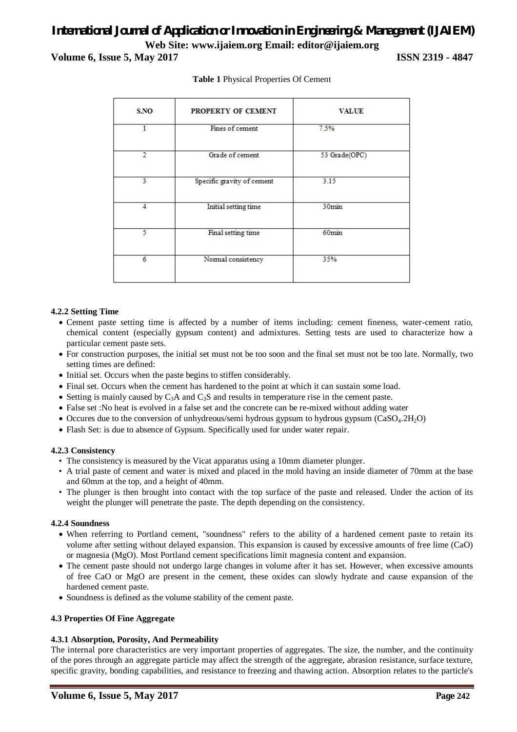### *International Journal of Application or Innovation in Engineering & Management (IJAIEM)* **Web Site: www.ijaiem.org Email: editor@ijaiem.org Volume 6, Issue 5, May 2017 ISSN 2319 - 4847**

| S.NO          | PROPERTY OF CEMENT         | <b>VALUE</b>      |  |  |
|---------------|----------------------------|-------------------|--|--|
| 1             | Fines of cement            | 7.5%              |  |  |
| $\mathcal{D}$ | Grade of cement            | 53 Grade(OPC)     |  |  |
| 3             | Specific gravity of cement | 3.15              |  |  |
| 4             | Initial setting time       | 30min             |  |  |
| ٢             | Final setting time         | 60 <sub>min</sub> |  |  |
| 6             | Normal consistency         | 35%               |  |  |

#### **Table 1** Physical Properties Of Cement

#### **4.2.2 Setting Time**

- Cement paste setting time is affected by a number of items including: cement fineness, water-cement ratio, chemical content (especially gypsum content) and admixtures. Setting tests are used to characterize how a particular cement paste sets.
- For construction purposes, the initial set must not be too soon and the final set must not be too late. Normally, two setting times are defined:
- Initial set. Occurs when the paste begins to stiffen considerably.
- Final set. Occurs when the cement has hardened to the point at which it can sustain some load.
- Setting is mainly caused by  $C_3A$  and  $C_3S$  and results in temperature rise in the cement paste.
- False set :No heat is evolved in a false set and the concrete can be re-mixed without adding water
- Occures due to the conversion of unhydreous/semi hydrous gypsum to hydrous gypsum (CaSO<sub>4</sub>.2H<sub>2</sub>O)
- Flash Set: is due to absence of Gypsum. Specifically used for under water repair.

#### **4.2.3 Consistency**

- The consistency is measured by the Vicat apparatus using a 10mm diameter plunger.
- A trial paste of cement and water is mixed and placed in the mold having an inside diameter of 70mm at the base and 60mm at the top, and a height of 40mm.
- The plunger is then brought into contact with the top surface of the paste and released. Under the action of its weight the plunger will penetrate the paste. The depth depending on the consistency.

#### **4.2.4 Soundness**

- When referring to Portland cement, "soundness" refers to the ability of a hardened cement paste to retain its volume after setting without delayed expansion. This expansion is caused by excessive amounts of free lime (CaO) or magnesia (MgO). Most Portland cement specifications limit magnesia content and expansion.
- The cement paste should not undergo large changes in volume after it has set. However, when excessive amounts of free CaO or MgO are present in the cement, these oxides can slowly hydrate and cause expansion of the hardened cement paste.
- Soundness is defined as the volume stability of the cement paste.

#### **4.3 Properties Of Fine Aggregate**

#### **4.3.1 Absorption, Porosity, And Permeability**

The internal pore characteristics are very important properties of aggregates. The size, the number, and the continuity of the pores through an aggregate particle may affect the strength of the aggregate, abrasion resistance, surface texture, specific gravity, bonding capabilities, and resistance to freezing and thawing action. Absorption relates to the particle's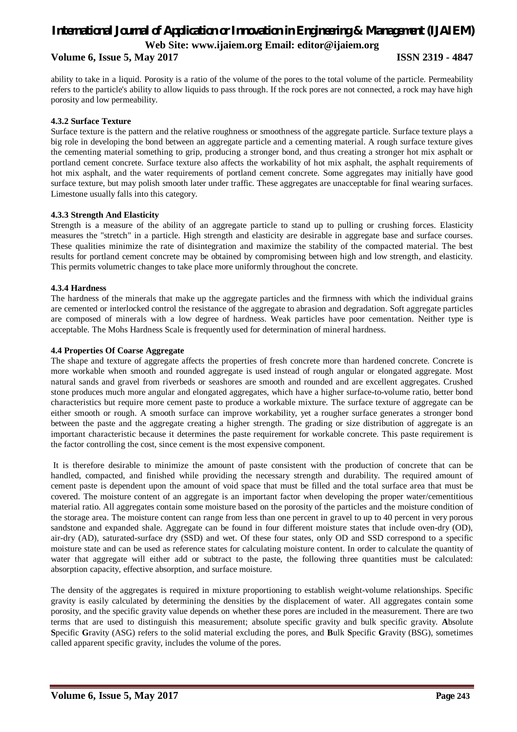**Volume 6, Issue 5, May 2017 ISSN 2319 - 4847**

ability to take in a liquid. Porosity is a ratio of the volume of the pores to the total volume of the particle. Permeability refers to the particle's ability to allow liquids to pass through. If the rock pores are not connected, a rock may have high porosity and low permeability.

#### **4.3.2 Surface Texture**

Surface texture is the pattern and the relative roughness or smoothness of the aggregate particle. Surface texture plays a big role in developing the bond between an aggregate particle and a cementing material. A rough surface texture gives the cementing material something to grip, producing a stronger bond, and thus creating a stronger hot mix asphalt or portland cement concrete. Surface texture also affects the workability of hot mix asphalt, the asphalt requirements of hot mix asphalt, and the water requirements of portland cement concrete. Some aggregates may initially have good surface texture, but may polish smooth later under traffic. These aggregates are unacceptable for final wearing surfaces. Limestone usually falls into this category.

#### **4.3.3 Strength And Elasticity**

Strength is a measure of the ability of an aggregate particle to stand up to pulling or crushing forces. Elasticity measures the "stretch" in a particle. High strength and elasticity are desirable in aggregate base and surface courses. These qualities minimize the rate of disintegration and maximize the stability of the compacted material. The best results for portland cement concrete may be obtained by compromising between high and low strength, and elasticity. This permits volumetric changes to take place more uniformly throughout the concrete.

#### **4.3.4 Hardness**

The hardness of the minerals that make up the aggregate particles and the firmness with which the individual grains are cemented or interlocked control the resistance of the aggregate to abrasion and degradation. Soft aggregate particles are composed of minerals with a low degree of hardness. Weak particles have poor cementation. Neither type is acceptable. The Mohs Hardness Scale is frequently used for determination of mineral hardness.

#### **4.4 Properties Of Coarse Aggregate**

The shape and texture of aggregate affects the properties of fresh concrete more than hardened concrete. Concrete is more workable when smooth and rounded aggregate is used instead of rough angular or elongated aggregate. Most natural sands and gravel from riverbeds or seashores are smooth and rounded and are excellent aggregates. Crushed stone produces much more angular and elongated aggregates, which have a higher surface-to-volume ratio, better bond characteristics but require more cement paste to produce a workable mixture. The surface texture of aggregate can be either smooth or rough. A smooth surface can improve workability, yet a rougher surface generates a stronger bond between the paste and the aggregate creating a higher strength. The grading or size distribution of aggregate is an important characteristic because it determines the paste requirement for workable concrete. This paste requirement is the factor controlling the cost, since cement is the most expensive component.

It is therefore desirable to minimize the amount of paste consistent with the production of concrete that can be handled, compacted, and finished while providing the necessary strength and durability. The required amount of cement paste is dependent upon the amount of void space that must be filled and the total surface area that must be covered. The moisture content of an aggregate is an important factor when developing the proper water/cementitious material ratio. All aggregates contain some moisture based on the porosity of the particles and the moisture condition of the storage area. The moisture content can range from less than one percent in gravel to up to 40 percent in very porous sandstone and expanded shale. Aggregate can be found in four different moisture states that include oven-dry (OD), air-dry (AD), saturated-surface dry (SSD) and wet. Of these four states, only OD and SSD correspond to a specific moisture state and can be used as reference states for calculating moisture content. In order to calculate the quantity of water that aggregate will either add or subtract to the paste, the following three quantities must be calculated: absorption capacity, effective absorption, and surface moisture.

The density of the aggregates is required in mixture proportioning to establish weight-volume relationships. Specific gravity is easily calculated by determining the densities by the displacement of water. All aggregates contain some porosity, and the specific gravity value depends on whether these pores are included in the measurement. There are two terms that are used to distinguish this measurement; absolute specific gravity and bulk specific gravity. **A**bsolute **S**pecific **G**ravity (ASG) refers to the solid material excluding the pores, and **B**ulk **S**pecific **G**ravity (BSG), sometimes called apparent specific gravity, includes the volume of the pores.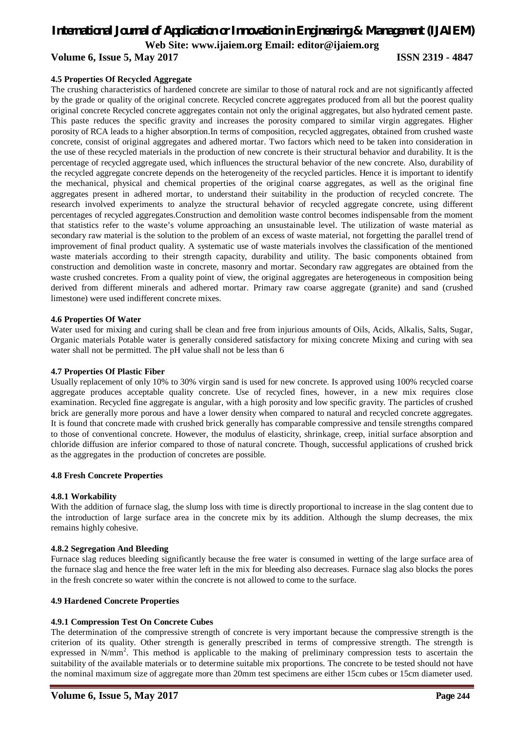### *International Journal of Application or Innovation in Engineering & Management (IJAIEM)*

**Web Site: www.ijaiem.org Email: editor@ijaiem.org**

**Volume 6, Issue 5, May 2017 ISSN 2319 - 4847** 

#### **4.5 Properties Of Recycled Aggregate**

The crushing characteristics of hardened concrete are similar to those of natural rock and are not significantly affected by the grade or quality of the original concrete. Recycled concrete aggregates produced from all but the poorest quality original concrete Recycled concrete aggregates contain not only the original aggregates, but also hydrated cement paste. This paste reduces the specific gravity and increases the porosity compared to similar virgin aggregates. Higher porosity of RCA leads to a higher absorption.In terms of composition, recycled aggregates, obtained from crushed waste concrete, consist of original aggregates and adhered mortar. Two factors which need to be taken into consideration in the use of these recycled materials in the production of new concrete is their structural behavior and durability. It is the percentage of recycled aggregate used, which influences the structural behavior of the new concrete. Also, durability of the recycled aggregate concrete depends on the heterogeneity of the recycled particles. Hence it is important to identify the mechanical, physical and chemical properties of the original coarse aggregates, as well as the original fine aggregates present in adhered mortar, to understand their suitability in the production of recycled concrete. The research involved experiments to analyze the structural behavior of recycled aggregate concrete, using different percentages of recycled aggregates.Construction and demolition waste control becomes indispensable from the moment that statistics refer to the waste's volume approaching an unsustainable level. The utilization of waste material as secondary raw material is the solution to the problem of an excess of waste material, not forgetting the parallel trend of improvement of final product quality. A systematic use of waste materials involves the classification of the mentioned waste materials according to their strength capacity, durability and utility. The basic components obtained from construction and demolition waste in concrete, masonry and mortar. Secondary raw aggregates are obtained from the waste crushed concretes. From a quality point of view, the original aggregates are heterogeneous in composition being derived from different minerals and adhered mortar. Primary raw coarse aggregate (granite) and sand (crushed limestone) were used indifferent concrete mixes.

#### **4.6 Properties Of Water**

Water used for mixing and curing shall be clean and free from injurious amounts of Oils, Acids, Alkalis, Salts, Sugar, Organic materials Potable water is generally considered satisfactory for mixing concrete Mixing and curing with sea water shall not be permitted. The pH value shall not be less than 6

#### **4.7 Properties Of Plastic Fiber**

Usually replacement of only 10% to 30% virgin sand is used for new concrete. Is approved using 100% recycled coarse aggregate produces acceptable quality concrete. Use of recycled fines, however, in a new mix requires close examination. Recycled fine aggregate is angular, with a high porosity and low specific gravity. The particles of crushed brick are generally more porous and have a lower density when compared to natural and recycled concrete aggregates. It is found that concrete made with crushed brick generally has comparable compressive and tensile strengths compared to those of conventional concrete. However, the modulus of elasticity, shrinkage, creep, initial surface absorption and chloride diffusion are inferior compared to those of natural concrete. Though, successful applications of crushed brick as the aggregates in the production of concretes are possible.

#### **4.8 Fresh Concrete Properties**

#### **4.8.1 Workability**

With the addition of furnace slag, the slump loss with time is directly proportional to increase in the slag content due to the introduction of large surface area in the concrete mix by its addition. Although the slump decreases, the mix remains highly cohesive.

#### **4.8.2 Segregation And Bleeding**

Furnace slag reduces bleeding significantly because the free water is consumed in wetting of the large surface area of the furnace slag and hence the free water left in the mix for bleeding also decreases. Furnace slag also blocks the pores in the fresh concrete so water within the concrete is not allowed to come to the surface.

#### **4.9 Hardened Concrete Properties**

#### **4.9.1 Compression Test On Concrete Cubes**

The determination of the compressive strength of concrete is very important because the compressive strength is the criterion of its quality. Other strength is generally prescribed in terms of compressive strength. The strength is expressed in N/mm<sup>2</sup>. This method is applicable to the making of preliminary compression tests to ascertain the suitability of the available materials or to determine suitable mix proportions. The concrete to be tested should not have the nominal maximum size of aggregate more than 20mm test specimens are either 15cm cubes or 15cm diameter used.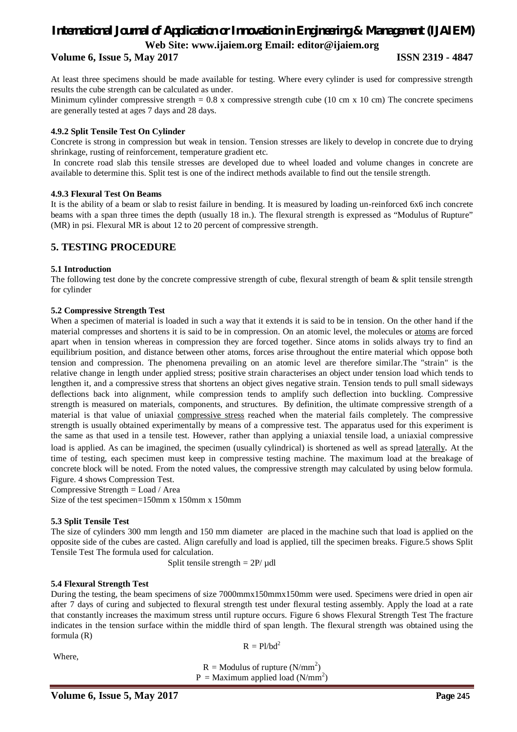#### **Volume 6, Issue 5, May 2017 ISSN 2319 - 4847**

At least three specimens should be made available for testing. Where every cylinder is used for compressive strength results the cube strength can be calculated as under.

Minimum cylinder compressive strength =  $0.8$  x compressive strength cube (10 cm x 10 cm) The concrete specimens are generally tested at ages 7 days and 28 days.

#### **4.9.2 Split Tensile Test On Cylinder**

Concrete is strong in compression but weak in tension. Tension stresses are likely to develop in concrete due to drying shrinkage, rusting of reinforcement, temperature gradient etc.

In concrete road slab this tensile stresses are developed due to wheel loaded and volume changes in concrete are available to determine this. Split test is one of the indirect methods available to find out the tensile strength.

#### **4.9.3 Flexural Test On Beams**

It is the ability of a beam or slab to resist failure in bending. It is measured by loading un-reinforced 6x6 inch concrete beams with a span three times the depth (usually 18 in.). The flexural strength is expressed as "Modulus of Rupture" (MR) in psi. Flexural MR is about 12 to 20 percent of compressive strength.

#### **5. TESTING PROCEDURE**

#### **5.1 Introduction**

The following test done by the concrete compressive strength of cube, flexural strength of beam & split tensile strength for cylinder

#### **5.2 Compressive Strength Test**

When a specimen of material is loaded in such a way that it extends it is said to be in tension. On the other hand if the material compresses and shortens it is said to be in compression. On an atomic level, the molecules or atoms are forced apart when in tension whereas in compression they are forced together. Since atoms in solids always try to find an equilibrium position, and distance between other atoms, forces arise throughout the entire material which oppose both tension and compression. The phenomena prevailing on an atomic level are therefore similar.The "strain" is the relative change in length under applied stress; positive strain characterises an object under tension load which tends to lengthen it, and a compressive stress that shortens an object gives negative strain. Tension tends to pull small sideways deflections back into alignment, while compression tends to amplify such deflection into buckling. Compressive strength is measured on materials, components, and structures. By definition, the ultimate compressive strength of a material is that value of uniaxial compressive stress reached when the material fails completely. The compressive strength is usually obtained experimentally by means of a compressive test. The apparatus used for this experiment is the same as that used in a tensile test. However, rather than applying a uniaxial tensile load, a uniaxial compressive load is applied. As can be imagined, the specimen (usually cylindrical) is shortened as well as spread laterally. At the time of testing, each specimen must keep in compressive testing machine. The maximum load at the breakage of concrete block will be noted. From the noted values, the compressive strength may calculated by using below formula. Figure. 4 shows Compression Test.

Compressive Strength = Load / Area

Size of the test specimen=150mm x 150mm x 150mm

#### **5.3 Split Tensile Test**

The size of cylinders 300 mm length and 150 mm diameter are placed in the machine such that load is applied on the opposite side of the cubes are casted. Align carefully and load is applied, till the specimen breaks. Figure.5 shows Split Tensile Test The formula used for calculation.

Split tensile strength  $= 2P/\mu dl$ 

#### **5.4 Flexural Strength Test**

During the testing, the beam specimens of size 7000mmx150mmx150mm were used. Specimens were dried in open air after 7 days of curing and subjected to flexural strength test under flexural testing assembly. Apply the load at a rate that constantly increases the maximum stress until rupture occurs. Figure 6 shows Flexural Strength Test The fracture indicates in the tension surface within the middle third of span length. The flexural strength was obtained using the formula (R)

Where,

 $R = Pl/bd^2$ 

 $R =$  Modulus of rupture (N/mm<sup>2</sup>)

 $P =$  Maximum applied load (N/mm<sup>2</sup>)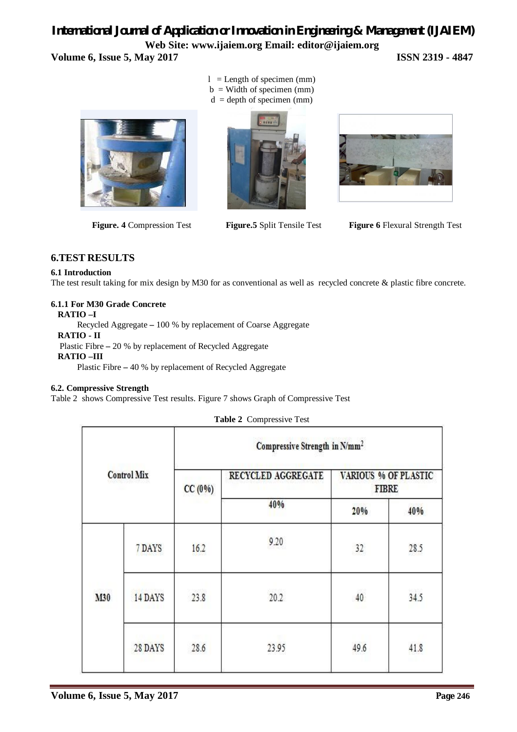### *International Journal of Application or Innovation in Engineering & Management (IJAIEM)* **Web Site: www.ijaiem.org Email: editor@ijaiem.org Volume 6, Issue 5, May 2017 ISSN 2319 - 4847**



 $l =$  Length of specimen (mm)  $b =$  Width of specimen (mm)  $d =$  depth of specimen (mm)





 **Figure. 4** Compression Test **Figure.5** Split Tensile Test **Figure 6** Flexural Strength Test

### **6.TEST RESULTS**

#### **6.1 Introduction**

The test result taking for mix design by M30 for as conventional as well as recycled concrete & plastic fibre concrete.

#### **6.1.1 For M30 Grade Concrete**

#### **RATIO –I**

Recycled Aggregate **–** 100 % by replacement of Coarse Aggregate

#### **RATIO - II**

Plastic Fibre **–** 20 % by replacement of Recycled Aggregate

#### **RATIO –III**

Plastic Fibre **–** 40 % by replacement of Recycled Aggregate

#### **6.2. Compressive Strength**

Table 2 shows Compressive Test results. Figure 7 shows Graph of Compressive Test

|                    |         |        | Compressive Strength in N/mm <sup>2</sup> |                                             |      |
|--------------------|---------|--------|-------------------------------------------|---------------------------------------------|------|
| <b>Control Mix</b> |         | CC(0%) | RECYCLED AGGREGATE                        | <b>VARIOUS % OF PLASTIC</b><br><b>FIBRE</b> |      |
|                    |         |        | 40%                                       | 20%                                         | 40%  |
|                    | 7 DAYS  | 16.2   | 9.20                                      | 32                                          | 28.5 |
| M30                | 14 DAYS | 23.8   | 20.2                                      | 2973<br>40                                  | 34.5 |
|                    | 28 DAYS | 28.6   | 23.95                                     | 49.6                                        | 41.8 |

**Table 2** Compressive Test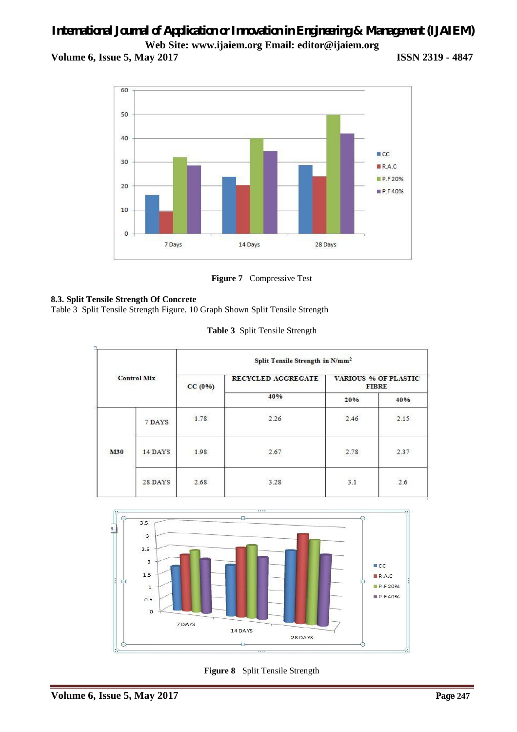**Volume 6, Issue 5, May 2017 ISSN 2319 - 4847**



**Figure 7** Compressive Test

### **8.3. Split Tensile Strength Of Concrete**

Table 3 Split Tensile Strength Figure. 10 Graph Shown Split Tensile Strength

|  | Table 3 Split Tensile Strength |
|--|--------------------------------|
|  |                                |

|                    |         | Split Tensile Strength in N/mm <sup>2</sup> |                           |                                             |                 |
|--------------------|---------|---------------------------------------------|---------------------------|---------------------------------------------|-----------------|
| <b>Control Mix</b> |         | CC(0%)                                      | <b>RECYCLED AGGREGATE</b> | <b>VARIOUS % OF PLASTIC</b><br><b>FIBRE</b> |                 |
|                    |         |                                             | 40%                       | 20%                                         | 40%             |
|                    | 7 DAYS  | 1.78                                        | 2.26                      | 2.46                                        | oshere.<br>2.15 |
| <b>M30</b>         | 14 DAYS | 1.98                                        | 2.67                      | 2.78                                        | 2.37            |
|                    | 28 DAYS | 43264348<br>2.68                            | 3.28                      | 3.1                                         | 2.6             |



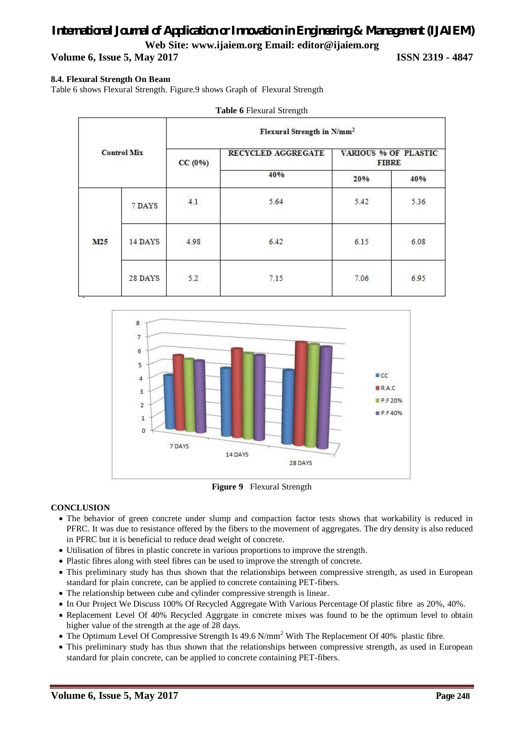**Volume 6, Issue 5, May 2017 ISSN 2319 - 4847**

#### **8.4. Flexural Strength On Beam**

Table 6 shows Flexural Strength. Figure.9 shows Graph of Flexural Strength

| Table 6 Flexural Strength |         |                                        |                    |                                      |      |  |
|---------------------------|---------|----------------------------------------|--------------------|--------------------------------------|------|--|
|                           |         | Flexural Strength in N/mm <sup>2</sup> |                    |                                      |      |  |
| <b>Control Mix</b>        |         | CC(0%)                                 | RECYCLED AGGREGATE | VARIOUS % OF PLASTIC<br><b>FIBRE</b> |      |  |
|                           |         |                                        | 40%                | 20%                                  | 40%  |  |
|                           | 7 DAYS  | 4.1                                    | 5.64               | 5.42                                 | 5.36 |  |
| M25                       | 14 DAYS | 4.98                                   | 6.42               | 6.15                                 | 6.08 |  |
|                           | 28 DAYS | 5.2                                    | 7.15               | 7.06                                 | 6.95 |  |



**Figure 9** Flexural Strength

#### **CONCLUSION**

- The behavior of green concrete under slump and compaction factor tests shows that workability is reduced in PFRC. It was due to resistance offered by the fibers to the movement of aggregates. The dry density is also reduced in PFRC but it is beneficial to reduce dead weight of concrete.
- Utilisation of fibres in plastic concrete in various proportions to improve the strength.
- Plastic fibres along with steel fibres can be used to improve the strength of concrete.
- This preliminary study has thus shown that the relationships between compressive strength, as used in European standard for plain concrete, can be applied to concrete containing PET-fibers.
- The relationship between cube and cylinder compressive strength is linear.
- In Our Project We Discuss 100% Of Recycled Aggregate With Various Percentage Of plastic fibre as 20%, 40%.
- Replacement Level Of 40% Recycled Aggrgate in concrete mixes was found to be the optimum level to obtain higher value of the strength at the age of 28 days.
- The Optimum Level Of Compressive Strength Is 49.6 N/mm<sup>2</sup> With The Replacement Of 40% plastic fibre.
- This preliminary study has thus shown that the relationships between compressive strength, as used in European standard for plain concrete, can be applied to concrete containing PET-fibers.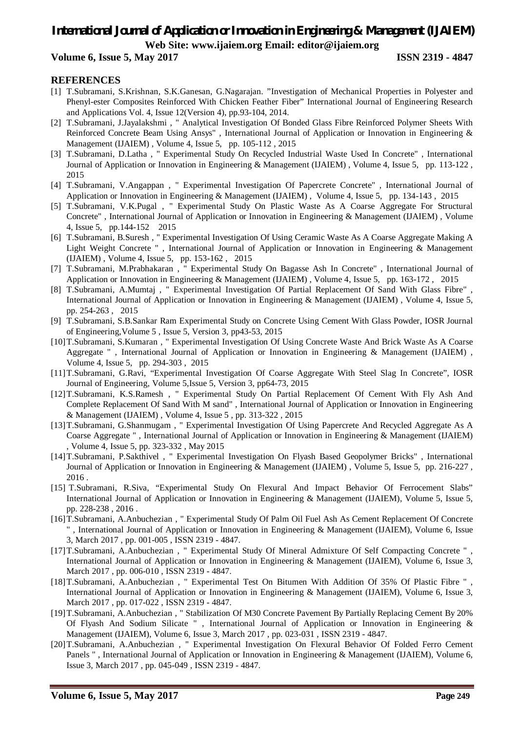#### **Volume 6, Issue 5, May 2017 ISSN 2319 - 4847**

#### **REFERENCES**

- [1] T.Subramani, S.Krishnan, S.K.Ganesan, G.Nagarajan. "Investigation of Mechanical Properties in Polyester and Phenyl-ester Composites Reinforced With Chicken Feather Fiber" International Journal of Engineering Research and Applications Vol. 4, Issue 12(Version 4), pp.93-104, 2014.
- [2] T.Subramani, J.Jayalakshmi , " Analytical Investigation Of Bonded Glass Fibre Reinforced Polymer Sheets With Reinforced Concrete Beam Using Ansys" , International Journal of Application or Innovation in Engineering & Management (IJAIEM) , Volume 4, Issue 5, pp. 105-112 , 2015
- [3] T.Subramani, D.Latha , " Experimental Study On Recycled Industrial Waste Used In Concrete" , International Journal of Application or Innovation in Engineering & Management (IJAIEM) , Volume 4, Issue 5, pp. 113-122 , 2015
- [4] T.Subramani, V.Angappan , " Experimental Investigation Of Papercrete Concrete" , International Journal of Application or Innovation in Engineering & Management (IJAIEM) , Volume 4, Issue 5, pp. 134-143 , 2015
- [5] T.Subramani, V.K.Pugal , " Experimental Study On Plastic Waste As A Coarse Aggregate For Structural Concrete" , International Journal of Application or Innovation in Engineering & Management (IJAIEM) , Volume 4, Issue 5, pp.144-152 2015
- [6] T.Subramani, B.Suresh , " Experimental Investigation Of Using Ceramic Waste As A Coarse Aggregate Making A Light Weight Concrete " , International Journal of Application or Innovation in Engineering & Management (IJAIEM) , Volume 4, Issue 5, pp. 153-162 , 2015
- [7] T.Subramani, M.Prabhakaran , " Experimental Study On Bagasse Ash In Concrete" , International Journal of Application or Innovation in Engineering & Management (IJAIEM) , Volume 4, Issue 5, pp. 163-172 , 2015
- [8] T.Subramani, A.Mumtaj , " Experimental Investigation Of Partial Replacement Of Sand With Glass Fibre" , International Journal of Application or Innovation in Engineering & Management (IJAIEM) , Volume 4, Issue 5, pp. 254-263 , 2015
- [9] T.Subramani, S.B.Sankar Ram Experimental Study on Concrete Using Cement With Glass Powder, IOSR Journal of Engineering,Volume 5 , Issue 5, Version 3, pp43-53, 2015
- [10]T.Subramani, S.Kumaran , " Experimental Investigation Of Using Concrete Waste And Brick Waste As A Coarse Aggregate " , International Journal of Application or Innovation in Engineering & Management (IJAIEM) , Volume 4, Issue 5, pp. 294-303 , 2015
- [11]T.Subramani, G.Ravi, "Experimental Investigation Of Coarse Aggregate With Steel Slag In Concrete", IOSR Journal of Engineering, Volume 5,Issue 5, Version 3, pp64-73, 2015
- [12]T.Subramani, K.S.Ramesh , " Experimental Study On Partial Replacement Of Cement With Fly Ash And Complete Replacement Of Sand With M sand" , International Journal of Application or Innovation in Engineering & Management (IJAIEM) , Volume 4, Issue 5 , pp. 313-322 , 2015
- [13]T.Subramani, G.Shanmugam , " Experimental Investigation Of Using Papercrete And Recycled Aggregate As A Coarse Aggregate " , International Journal of Application or Innovation in Engineering & Management (IJAIEM) , Volume 4, Issue 5, pp. 323-332 , May 2015
- [14]T.Subramani, P.Sakthivel , " Experimental Investigation On Flyash Based Geopolymer Bricks" , International Journal of Application or Innovation in Engineering & Management (IJAIEM) , Volume 5, Issue 5, pp. 216-227 , 2016 .
- [15] T.Subramani, R.Siva, "Experimental Study On Flexural And Impact Behavior Of Ferrocement Slabs" International Journal of Application or Innovation in Engineering & Management (IJAIEM), Volume 5, Issue 5, pp. 228-238 , 2016 .
- [16]T.Subramani, A.Anbuchezian , " Experimental Study Of Palm Oil Fuel Ash As Cement Replacement Of Concrete " , International Journal of Application or Innovation in Engineering & Management (IJAIEM), Volume 6, Issue 3, March 2017 , pp. 001-005 , ISSN 2319 - 4847.
- [17]T.Subramani, A.Anbuchezian , " Experimental Study Of Mineral Admixture Of Self Compacting Concrete " , International Journal of Application or Innovation in Engineering & Management (IJAIEM), Volume 6, Issue 3, March 2017 , pp. 006-010 , ISSN 2319 - 4847.
- [18]T.Subramani, A.Anbuchezian , " Experimental Test On Bitumen With Addition Of 35% Of Plastic Fibre " , International Journal of Application or Innovation in Engineering & Management (IJAIEM), Volume 6, Issue 3, March 2017 , pp. 017-022 , ISSN 2319 - 4847.
- [19]T.Subramani, A.Anbuchezian , " Stabilization Of M30 Concrete Pavement By Partially Replacing Cement By 20% Of Flyash And Sodium Silicate " , International Journal of Application or Innovation in Engineering & Management (IJAIEM), Volume 6, Issue 3, March 2017 , pp. 023-031 , ISSN 2319 - 4847.
- [20]T.Subramani, A.Anbuchezian , " Experimental Investigation On Flexural Behavior Of Folded Ferro Cement Panels ", International Journal of Application or Innovation in Engineering & Management (IJAIEM), Volume 6, Issue 3, March 2017 , pp. 045-049 , ISSN 2319 - 4847.